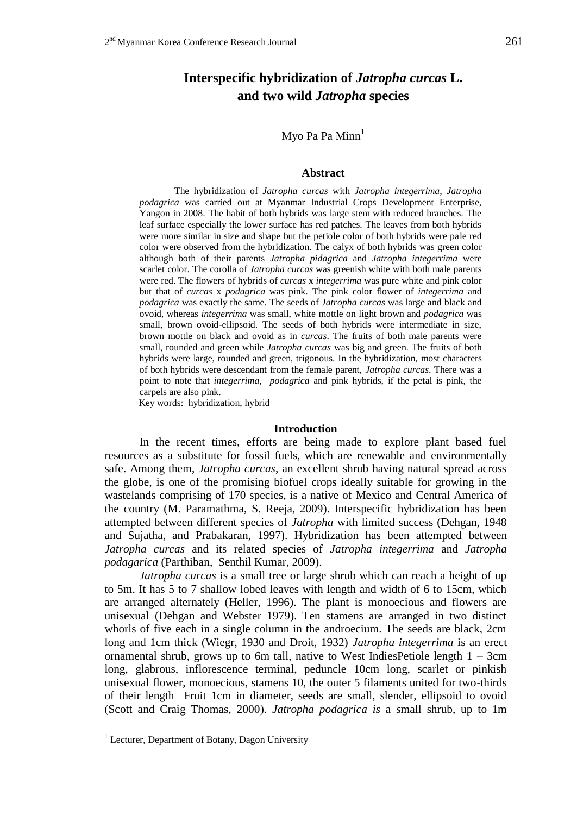# **Interspecific hybridization of** *Jatropha curcas* **L. and two wild** *Jatropha* **species**

### Myo Pa Pa  $Min<sup>1</sup>$

#### **Abstract**

The hybridization of *Jatropha curcas* with *Jatropha integerrima*, *Jatropha podagrica* was carried out at Myanmar Industrial Crops Development Enterprise, Yangon in 2008. The habit of both hybrids was large stem with reduced branches. The leaf surface especially the lower surface has red patches. The leaves from both hybrids were more similar in size and shape but the petiole color of both hybrids were pale red color were observed from the hybridization. The calyx of both hybrids was green color although both of their parents *Jatropha pidagrica* and *Jatropha integerrima* were scarlet color. The corolla of *Jatropha curcas* was greenish white with both male parents were red. The flowers of hybrids of *curcas* x *integerrima* was pure white and pink color but that of *curcas* x *podagrica* was pink. The pink color flower of *integerrima* and *podagrica* was exactly the same. The seeds of *Jatropha curcas* was large and black and ovoid, whereas *integerrima* was small, white mottle on light brown and *podagrica* was small, brown ovoid-ellipsoid. The seeds of both hybrids were intermediate in size, brown mottle on black and ovoid as in *curcas*. The fruits of both male parents were small, rounded and green while *Jatropha curcas* was big and green. The fruits of both hybrids were large, rounded and green, trigonous. In the hybridization, most characters of both hybrids were descendant from the female parent, *Jatropha curcas*. There was a point to note that *integerrima, podagrica* and pink hybrids, if the petal is pink, the carpels are also pink.

Key words: hybridization, hybrid

### **Introduction**

In the recent times, efforts are being made to explore plant based fuel resources as a substitute for fossil fuels, which are renewable and environmentally safe. Among them, *Jatropha curcas*, an excellent shrub having natural spread across the globe, is one of the promising biofuel crops ideally suitable for growing in the wastelands comprising of 170 species, is a native of Mexico and Central America of the country (M. Paramathma, S. Reeja, 2009). Interspecific hybridization has been attempted between different species of *Jatropha* with limited success (Dehgan, 1948 and Sujatha, and Prabakaran, 1997). Hybridization has been attempted between *Jatropha curcas* and its related species of *Jatropha integerrima* and *Jatropha podagarica* (Parthiban, Senthil Kumar, 2009).

*Jatropha curcas* is a small tree or large shrub which can reach a height of up to 5m. It has 5 to 7 shallow lobed leaves with length and width of 6 to 15cm, which are arranged alternately (Heller, 1996). The plant is monoecious and flowers are unisexual (Dehgan and Webster 1979). Ten stamens are arranged in two distinct whorls of five each in a single column in the androecium. The seeds are black, 2cm long and 1cm thick (Wiegr, 1930 and Droit, 1932) *Jatropha integerrima* is an erect ornamental shrub, grows up to 6m tall, native to West IndiesPetiole length  $1 - 3$ cm long, glabrous, inflorescence terminal, peduncle 10cm long, scarlet or pinkish unisexual flower, monoecious, stamens 10, the outer 5 filaments united for two-thirds of their length Fruit 1cm in diameter, seeds are small, slender, ellipsoid to ovoid (Scott and Craig Thomas, 2000). *Jatropha podagrica is* a *s*mall shrub, up to 1m

<u>.</u>

<sup>&</sup>lt;sup>1</sup> Lecturer, Department of Botany, Dagon University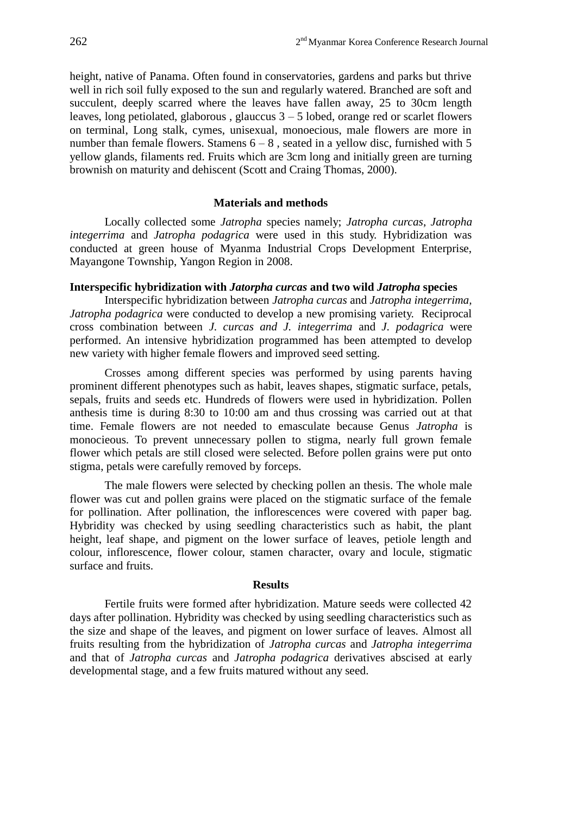height, native of Panama. Often found in conservatories, gardens and parks but thrive well in rich soil fully exposed to the sun and regularly watered. Branched are soft and succulent, deeply scarred where the leaves have fallen away, 25 to 30cm length leaves, long petiolated, glaborous, glauccus  $3 - 5$  lobed, orange red or scarlet flowers on terminal, Long stalk, cymes, unisexual, monoecious, male flowers are more in number than female flowers. Stamens  $6 - 8$ , seated in a yellow disc, furnished with 5 yellow glands, filaments red. Fruits which are 3cm long and initially green are turning brownish on maturity and dehiscent (Scott and Craing Thomas, 2000).

### **Materials and methods**

Locally collected some *Jatropha* species namely; *Jatropha curcas*, *Jatropha integerrima* and *Jatropha podagrica* were used in this study. Hybridization was conducted at green house of Myanma Industrial Crops Development Enterprise, Mayangone Township, Yangon Region in 2008.

### **Interspecific hybridization with** *Jatorpha curcas* **and two wild** *Jatropha* **species**

Interspecific hybridization between *Jatropha curcas* and *Jatropha integerrima, Jatropha podagrica* were conducted to develop a new promising variety. Reciprocal cross combination between *J. curcas and J. integerrima* and *J. podagrica* were performed. An intensive hybridization programmed has been attempted to develop new variety with higher female flowers and improved seed setting.

Crosses among different species was performed by using parents having prominent different phenotypes such as habit, leaves shapes, stigmatic surface, petals, sepals, fruits and seeds etc. Hundreds of flowers were used in hybridization. Pollen anthesis time is during 8:30 to 10:00 am and thus crossing was carried out at that time. Female flowers are not needed to emasculate because Genus *Jatropha* is monocieous. To prevent unnecessary pollen to stigma, nearly full grown female flower which petals are still closed were selected. Before pollen grains were put onto stigma, petals were carefully removed by forceps.

The male flowers were selected by checking pollen an thesis. The whole male flower was cut and pollen grains were placed on the stigmatic surface of the female for pollination. After pollination, the inflorescences were covered with paper bag. Hybridity was checked by using seedling characteristics such as habit, the plant height, leaf shape, and pigment on the lower surface of leaves, petiole length and colour, inflorescence, flower colour, stamen character, ovary and locule, stigmatic surface and fruits.

### **Results**

Fertile fruits were formed after hybridization. Mature seeds were collected 42 days after pollination. Hybridity was checked by using seedling characteristics such as the size and shape of the leaves, and pigment on lower surface of leaves. Almost all fruits resulting from the hybridization of *Jatropha curcas* and *Jatropha integerrima* and that of *Jatropha curcas* and *Jatropha podagrica* derivatives abscised at early developmental stage, and a few fruits matured without any seed.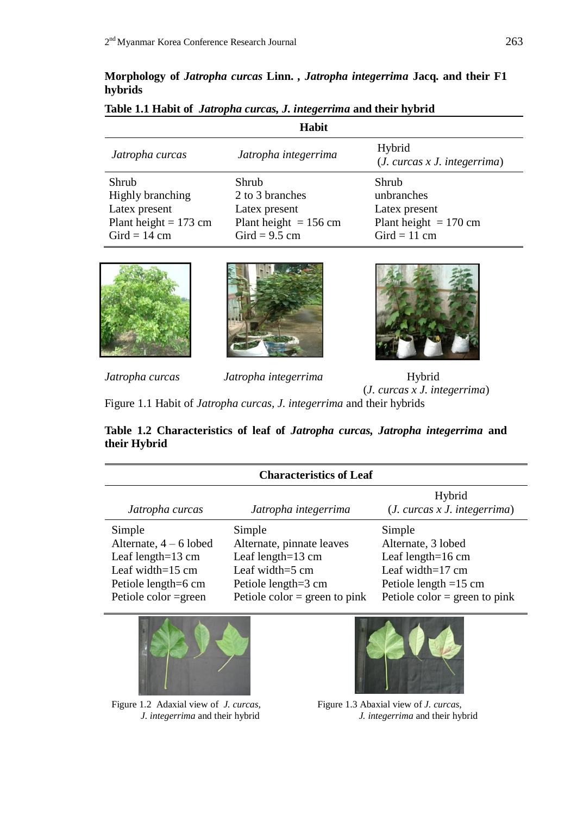## **Morphology of** *Jatropha curcas* **Linn.** *, Jatropha integerrima* **Jacq. and their F1 hybrids**

| Habit                   |                         |                                       |  |
|-------------------------|-------------------------|---------------------------------------|--|
| Jatropha curcas         | Jatropha integerrima    | Hybrid<br>(J. cures x J. integerrima) |  |
| Shrub                   | Shrub                   | Shrub                                 |  |
| Highly branching        | 2 to 3 branches         | unbranches                            |  |
| Latex present           | Latex present           | Latex present                         |  |
| Plant height = $173$ cm | Plant height $= 156$ cm | Plant height $= 170$ cm               |  |
| Gird = $14 \text{ cm}$  | Gird = $9.5$ cm         | Gird = $11$ cm                        |  |

## **Table 1.1 Habit of** *Jatropha curcas, J. integerrima* **and their hybrid**







*Jatropha curcas Jatropha integerrima* Hybrid (*J. curcas x J. integerrima*)

Figure 1.1 Habit of *Jatropha curcas, J. integerrima* and their hybrids

**Table 1.2 Characteristics of leaf of** *Jatropha curcas, Jatropha integerrima* **and their Hybrid**

| <b>Characteristics of Leaf</b>                                                                                                                    |                                                                                                                                                |                                                                                                                                                         |  |
|---------------------------------------------------------------------------------------------------------------------------------------------------|------------------------------------------------------------------------------------------------------------------------------------------------|---------------------------------------------------------------------------------------------------------------------------------------------------------|--|
| Jatropha curcas                                                                                                                                   | Jatropha integerrima                                                                                                                           | Hybrid<br>(J. cures x J. integerrima)                                                                                                                   |  |
| Simple<br>Alternate, $4 - 6$ lobed<br>Leaf length= $13 \text{ cm}$<br>Leaf width= $15 \text{ cm}$<br>Petiole length=6 cm<br>Petiole color = green | Simple<br>Alternate, pinnate leaves<br>Leaf length= $13 \text{ cm}$<br>Leaf width=5 cm<br>Petiole length=3 cm<br>Petiole color = green to pink | Simple<br>Alternate, 3 lobed<br>Leaf length= $16 \text{ cm}$<br>Leaf width= $17 \text{ cm}$<br>Petiole length $=15$ cm<br>Petiole color = green to pink |  |



Figure 1.2 Adaxial view of *J. curcas, J. integerrima* and their hybrid

Figure 1.3 Abaxial view of *J. curcas, J. integerrima* and their hybrid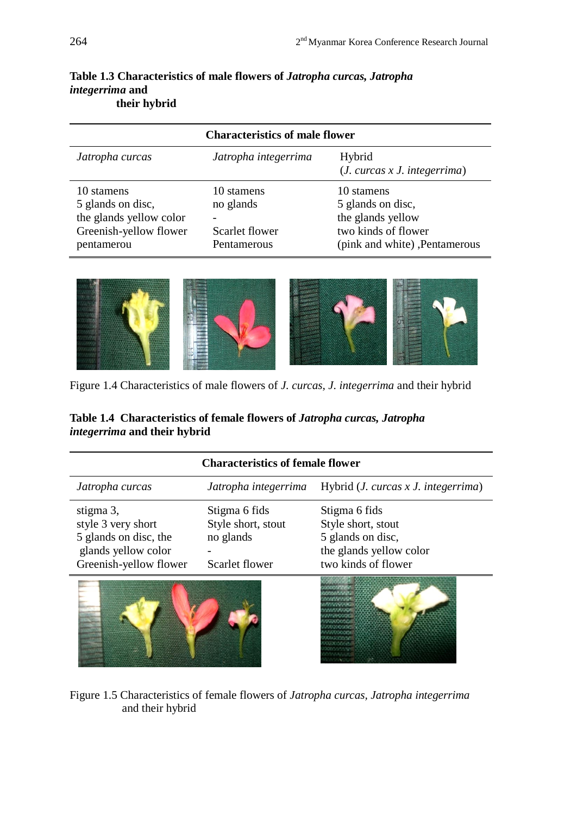| <b>Characteristics of male flower</b>                                                              |                                                          |                                                                                                              |
|----------------------------------------------------------------------------------------------------|----------------------------------------------------------|--------------------------------------------------------------------------------------------------------------|
| Jatropha curcas                                                                                    | Jatropha integerrima                                     | Hybrid<br>(J. cures x J. integerrima)                                                                        |
| 10 stamens<br>5 glands on disc,<br>the glands yellow color<br>Greenish-yellow flower<br>pentamerou | 10 stamens<br>no glands<br>Scarlet flower<br>Pentamerous | 10 stamens<br>5 glands on disc,<br>the glands yellow<br>two kinds of flower<br>(pink and white), Pentamerous |

# **Table 1.3 Characteristics of male flowers of** *Jatropha curcas, Jatropha integerrima* **and their hybrid**



Figure 1.4 Characteristics of male flowers of *J. curcas, J. integerrima* and their hybrid

## **Table 1.4 Characteristics of female flowers of** *Jatropha curcas, Jatropha integerrima* **and their hybrid**

| <b>Characteristics of female flower</b> |                      |                                       |
|-----------------------------------------|----------------------|---------------------------------------|
| Jatropha curcas                         | Jatropha integerrima | Hybrid $(J. curcas x J. integerrima)$ |
| stigma 3,                               | Stigma 6 fids        | Stigma 6 fids                         |
| style 3 very short                      | Style short, stout   | Style short, stout                    |
| 5 glands on disc, the                   | no glands            | 5 glands on disc,                     |
| glands yellow color                     |                      | the glands yellow color               |
| Greenish-yellow flower                  | Scarlet flower       | two kinds of flower                   |
|                                         |                      |                                       |





Figure 1.5 Characteristics of female flowers of *Jatropha curcas, Jatropha integerrima* and their hybrid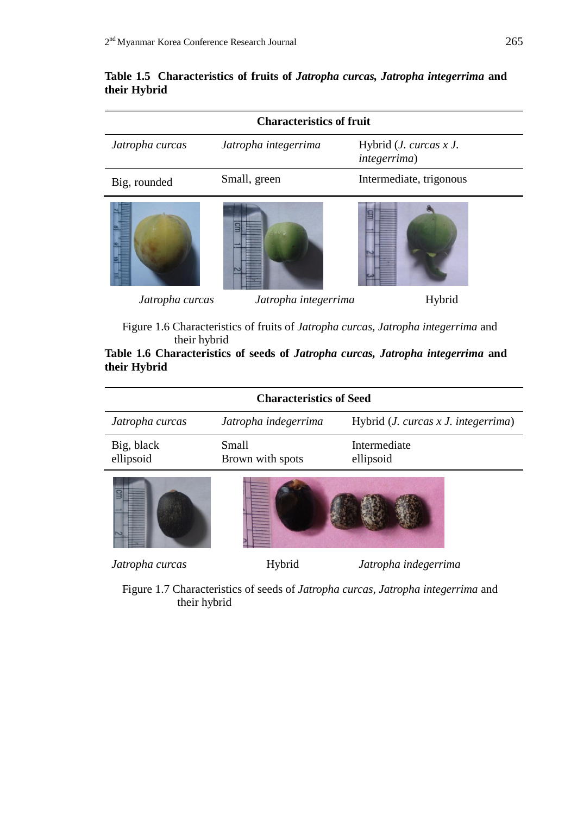## **Table 1.5 Characteristics of fruits of** *Jatropha curcas, Jatropha integerrima* **and their Hybrid**

| <b>Characteristics of fruit</b> |                      |                                                        |
|---------------------------------|----------------------|--------------------------------------------------------|
| Jatropha curcas                 | Jatropha integerrima | Hybrid ( <i>J. curcas x J.</i><br><i>integerrima</i> ) |
| Big, rounded                    | Small, green         | Intermediate, trigonous                                |
|                                 | 昌                    |                                                        |
| Jatropha curcas                 | Jatropha integerrima | Hybrid                                                 |

 Figure 1.6 Characteristics of fruits of *Jatropha curcas, Jatropha integerrima* and their hybrid

**Table 1.6 Characteristics of seeds of** *Jatropha curcas, Jatropha integerrima* **and their Hybrid**

| <b>Characteristics of Seed</b> |                           |                                       |
|--------------------------------|---------------------------|---------------------------------------|
| Jatropha curcas                | Jatropha indegerrima      | Hybrid $(J. curcas x J. integerrima)$ |
| Big, black<br>ellipsoid        | Small<br>Brown with spots | Intermediate<br>ellipsoid             |
|                                |                           |                                       |
| Jatropha curcas                | Hybrid                    | Jatropha indegerrima                  |

 Figure 1.7 Characteristics of seeds of *Jatropha curcas, Jatropha integerrima* and their hybrid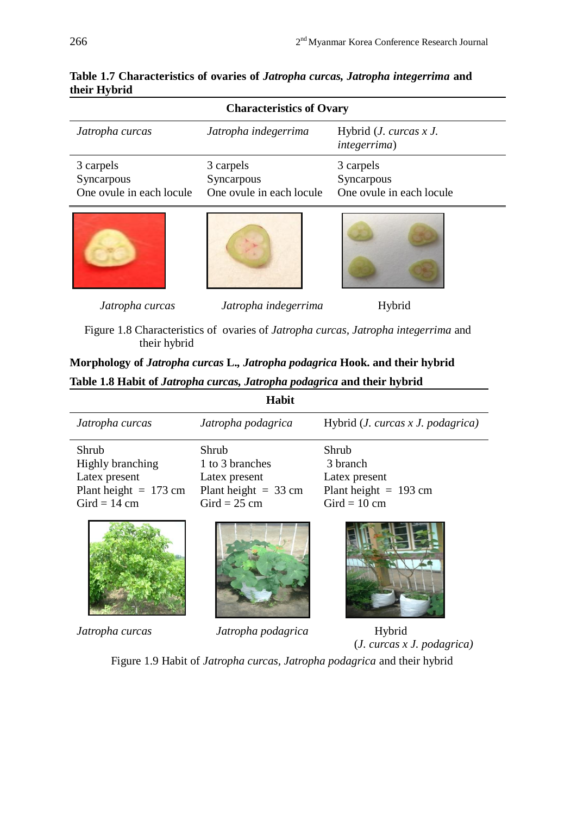| <b>Characteristics of Ovary</b>                     |                                                     |                                                     |
|-----------------------------------------------------|-----------------------------------------------------|-----------------------------------------------------|
| Jatropha curcas                                     | Jatropha indegerrima                                | Hybrid ( <i>J. curcas x J.</i><br>integerrima)      |
| 3 carpels<br>Syncarpous<br>One ovule in each locule | 3 carpels<br>Syncarpous<br>One ovule in each locule | 3 carpels<br>Syncarpous<br>One ovule in each locule |
|                                                     |                                                     |                                                     |
| Jatropha curcas                                     | Jatropha indegerrima                                | Hybrid                                              |

**Table 1.7 Characteristics of ovaries of** *Jatropha curcas, Jatropha integerrima* **and their Hybrid**

 Figure 1.8 Characteristics of ovaries of *Jatropha curcas, Jatropha integerrima* and their hybrid

**Morphology of** *Jatropha curcas* **L.***, Jatropha podagrica* **Hook. and their hybrid Table 1.8 Habit of** *Jatropha curcas, Jatropha podagrica* **and their hybrid**

| Habit                                                                                           |                                                                                       |                                                                                 |
|-------------------------------------------------------------------------------------------------|---------------------------------------------------------------------------------------|---------------------------------------------------------------------------------|
| Jatropha curcas                                                                                 | Jatropha podagrica                                                                    | Hybrid $(J. curcas x J. podagrica)$                                             |
| Shrub<br>Highly branching<br>Latex present<br>Plant height $= 173$ cm<br>Gird = $14 \text{ cm}$ | Shrub<br>1 to 3 branches<br>Latex present<br>Plant height $=$ 33 cm<br>$Gird = 25$ cm | Shrub<br>3 branch<br>Latex present<br>Plant height $= 193$ cm<br>$Gird = 10$ cm |
|                                                                                                 |                                                                                       |                                                                                 |

*Jatropha curcas Jatropha podagrica* Hybrid

(*J. curcas x J. podagrica)*

Figure 1.9 Habit of *Jatropha curcas, Jatropha podagrica* and their hybrid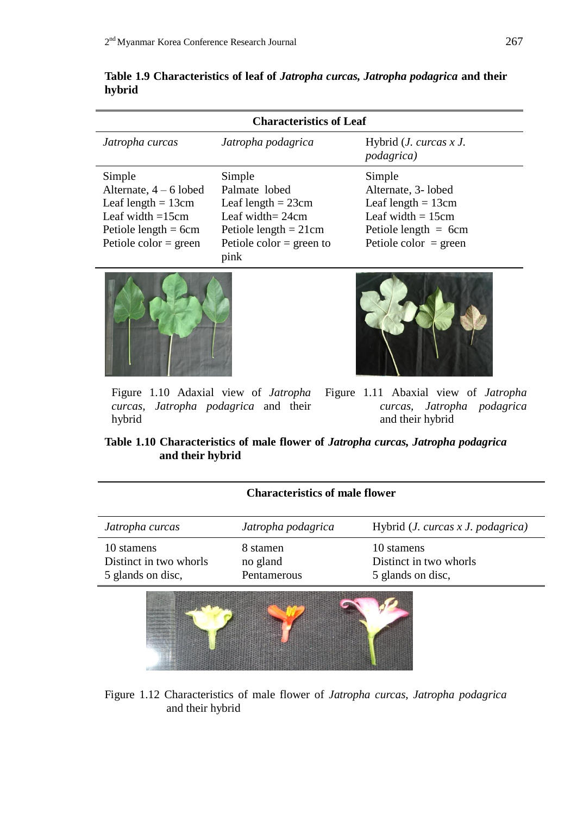| <b>Characteristics of Leaf</b> |                                  |                                                |
|--------------------------------|----------------------------------|------------------------------------------------|
| Jatropha curcas                | Jatropha podagrica               | Hybrid $(J. curves x J.$<br><i>podagrica</i> ) |
| Simple                         | Simple                           | Simple                                         |
| Alternate, $4-6$ lobed         | Palmate lobed                    | Alternate, 3- lobed                            |
| Leaf length $= 13$ cm          | Leaf length $= 23$ cm            | Leaf length $= 13$ cm                          |
| Leaf width $=15cm$             | Leaf width = $24cm$              | Leaf width $= 15$ cm                           |
| Petiole length $= 6cm$         | Petiole length $= 21$ cm         | Petiole length $= 6$ cm                        |
| Petiole color = $green$        | Petiole color = green to<br>pink | Petiole color $=$ green                        |

**Table 1.9 Characteristics of leaf of** *Jatropha curcas, Jatropha podagrica* **and their hybrid**





Figure 1.10 Adaxial view of *Jatropha curcas, Jatropha podagrica* and their hybrid

Figure 1.11 Abaxial view of *Jatropha curcas, Jatropha podagrica* and their hybrid

## **Table 1.10 Characteristics of male flower of** *Jatropha curcas, Jatropha podagrica* **and their hybrid**

| <b>Characteristics of male flower</b>                     |                                     |                                                           |
|-----------------------------------------------------------|-------------------------------------|-----------------------------------------------------------|
| Jatropha curcas                                           | Jatropha podagrica                  | Hybrid ( <i>J. curcas x J. podagrica</i> )                |
| 10 stamens<br>Distinct in two whorls<br>5 glands on disc, | 8 stamen<br>no gland<br>Pentamerous | 10 stamens<br>Distinct in two whorls<br>5 glands on disc, |
|                                                           |                                     |                                                           |

Figure 1.12 Characteristics of male flower of *Jatropha curcas, Jatropha podagrica* and their hybrid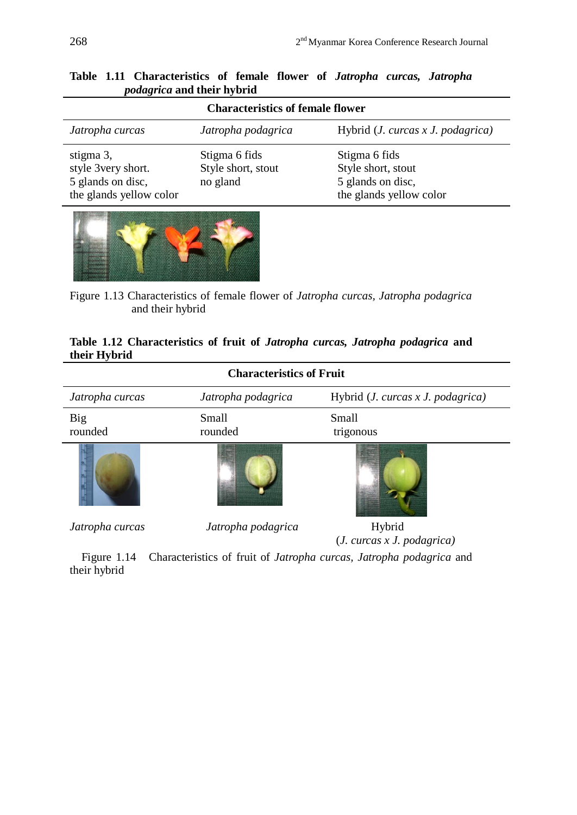| <b>Characteristics of female flower</b>                                         |                                                 |                                                                                     |
|---------------------------------------------------------------------------------|-------------------------------------------------|-------------------------------------------------------------------------------------|
| Jatropha curcas                                                                 | Jatropha podagrica                              | Hybrid $(J. curcas x J. podagrica)$                                                 |
| stigma 3,<br>style 3very short.<br>5 glands on disc,<br>the glands yellow color | Stigma 6 fids<br>Style short, stout<br>no gland | Stigma 6 fids<br>Style short, stout<br>5 glands on disc,<br>the glands yellow color |

**Table 1.11 Characteristics of female flower of** *Jatropha curcas, Jatropha podagrica* **and their hybrid**



Figure 1.13 Characteristics of female flower of *Jatropha curcas, Jatropha podagrica* and their hybrid

## **Table 1.12 Characteristics of fruit of** *Jatropha curcas, Jatropha podagrica* **and their Hybrid**

| <b>Characteristics of Fruit</b> |                    |                                   |
|---------------------------------|--------------------|-----------------------------------|
| Jatropha curcas                 | Jatropha podagrica | Hybrid (J. curcas x J. podagrica) |
| Big<br>rounded                  | Small<br>rounded   | Small<br>trigonous                |
|                                 |                    |                                   |
| Jatropha curcas                 | Jatropha podagrica | Hybrid                            |

(*J. curcas x J. podagrica)*

 Figure 1.14 Characteristics of fruit of *Jatropha curcas, Jatropha podagrica* and their hybrid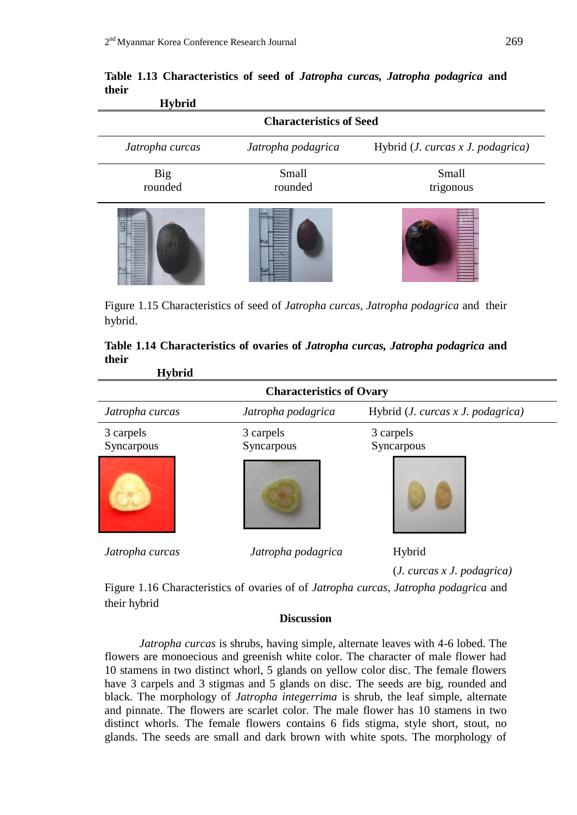| 11 y DI IU                     |                    |                                     |  |  |  |  |  |
|--------------------------------|--------------------|-------------------------------------|--|--|--|--|--|
| <b>Characteristics of Seed</b> |                    |                                     |  |  |  |  |  |
| Jatropha curcas                | Jatropha podagrica | Hybrid $(J. curcas x J. podagrica)$ |  |  |  |  |  |
| <b>Big</b><br>rounded          | Small<br>rounded   | Small<br>trigonous                  |  |  |  |  |  |
| Gm                             | ادعا               |                                     |  |  |  |  |  |

**Table 1.13 Characteristics of seed of** *Jatropha curcas, Jatropha podagrica* **and their Hybrid**

Figure 1.15 Characteristics of seed of *Jatropha curcas, Jatropha podagrica* and their hybrid.

| 11 y DI IU                      |                    |                                     |  |  |  |  |
|---------------------------------|--------------------|-------------------------------------|--|--|--|--|
| <b>Characteristics of Ovary</b> |                    |                                     |  |  |  |  |
| Jatropha curcas                 | Jatropha podagrica | Hybrid $(J. curcas x J. podagrica)$ |  |  |  |  |
| 3 carpels                       | 3 carpels          | 3 carpels                           |  |  |  |  |
| Syncarpous                      | Syncarpous         | Syncarpous                          |  |  |  |  |
|                                 |                    |                                     |  |  |  |  |
| Jatropha curcas                 | Jatropha podagrica | Hybrid                              |  |  |  |  |
|                                 |                    | (J. cures x J. podagrica)           |  |  |  |  |

|       | Table 1.14 Characteristics of ovaries of Jatropha curcas, Jatropha podagrica and |  |  |  |
|-------|----------------------------------------------------------------------------------|--|--|--|
| their |                                                                                  |  |  |  |
|       | <b>II.h.id</b>                                                                   |  |  |  |

Figure 1.16 Characteristics of ovaries of of *Jatropha curcas, Jatropha podagrica* and their hybrid

### **Discussion**

*Jatropha curcas* is shrubs, having simple, alternate leaves with 4-6 lobed. The flowers are monoecious and greenish white color. The character of male flower had 10 stamens in two distinct whorl, 5 glands on yellow color disc. The female flowers have 3 carpels and 3 stigmas and 5 glands on disc. The seeds are big, rounded and black. The morphology of *Jatropha integerrima* is shrub, the leaf simple, alternate and pinnate. The flowers are scarlet color. The male flower has 10 stamens in two distinct whorls. The female flowers contains 6 fids stigma, style short, stout, no glands. The seeds are small and dark brown with white spots. The morphology of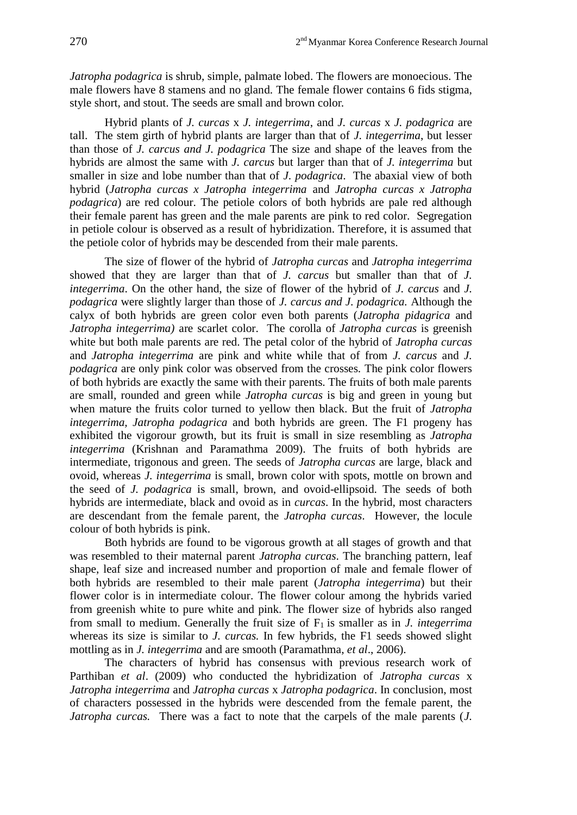*Jatropha podagrica* is shrub, simple, palmate lobed. The flowers are monoecious. The male flowers have 8 stamens and no gland. The female flower contains 6 fids stigma, style short, and stout. The seeds are small and brown color.

 Hybrid plants of *J. curcas* x *J. integerrima*, and *J. curcas* x *J. podagrica* are tall. The stem girth of hybrid plants are larger than that of *J. integerrima*, but lesser than those of *J. carcus and J. podagrica* The size and shape of the leaves from the hybrids are almost the same with *J. carcus* but larger than that of *J. integerrima* but smaller in size and lobe number than that of *J. podagrica*. The abaxial view of both hybrid (*Jatropha curcas x Jatropha integerrima* and *Jatropha curcas x Jatropha podagrica*) are red colour. The petiole colors of both hybrids are pale red although their female parent has green and the male parents are pink to red color. Segregation in petiole colour is observed as a result of hybridization. Therefore, it is assumed that the petiole color of hybrids may be descended from their male parents.

The size of flower of the hybrid of *Jatropha curcas* and *Jatropha integerrima*  showed that they are larger than that of *J. carcus* but smaller than that of *J. integerrima*. On the other hand, the size of flower of the hybrid of *J. carcus* and *J. podagrica* were slightly larger than those of *J. carcus and J. podagrica.* Although the calyx of both hybrids are green color even both parents (*Jatropha pidagrica* and *Jatropha integerrima)* are scarlet color. The corolla of *Jatropha curcas* is greenish white but both male parents are red. The petal color of the hybrid of *Jatropha curcas*  and *Jatropha integerrima* are pink and white while that of from *J. carcus* and *J. podagrica* are only pink color was observed from the crosses*.* The pink color flowers of both hybrids are exactly the same with their parents. The fruits of both male parents are small, rounded and green while *Jatropha curcas* is big and green in young but when mature the fruits color turned to yellow then black. But the fruit of *Jatropha integerrima, Jatropha podagrica* and both hybrids are green. The F1 progeny has exhibited the vigorour growth, but its fruit is small in size resembling as *Jatropha integerrima* (Krishnan and Paramathma 2009). The fruits of both hybrids are intermediate, trigonous and green. The seeds of *Jatropha curcas* are large, black and ovoid, whereas *J. integerrima* is small, brown color with spots, mottle on brown and the seed of *J. podagrica* is small, brown, and ovoid-ellipsoid. The seeds of both hybrids are intermediate, black and ovoid as in *curcas*. In the hybrid, most characters are descendant from the female parent, the *Jatropha curcas*. However, the locule colour of both hybrids is pink.

Both hybrids are found to be vigorous growth at all stages of growth and that was resembled to their maternal parent *Jatropha curcas*. The branching pattern, leaf shape, leaf size and increased number and proportion of male and female flower of both hybrids are resembled to their male parent (*Jatropha integerrima*) but their flower color is in intermediate colour. The flower colour among the hybrids varied from greenish white to pure white and pink. The flower size of hybrids also ranged from small to medium. Generally the fruit size of  $F_1$  is smaller as in *J. integerrima* whereas its size is similar to *J. curcas*. In few hybrids, the F1 seeds showed slight mottling as in *J. integerrima* and are smooth (Paramathma, *et al*., 2006).

The characters of hybrid has consensus with previous research work of Parthiban *et al*. (2009) who conducted the hybridization of *Jatropha curcas* x *Jatropha integerrima* and *Jatropha curcas* x *Jatropha podagrica*. In conclusion, most of characters possessed in the hybrids were descended from the female parent, the *Jatropha curcas.* There was a fact to note that the carpels of the male parents (*J.*